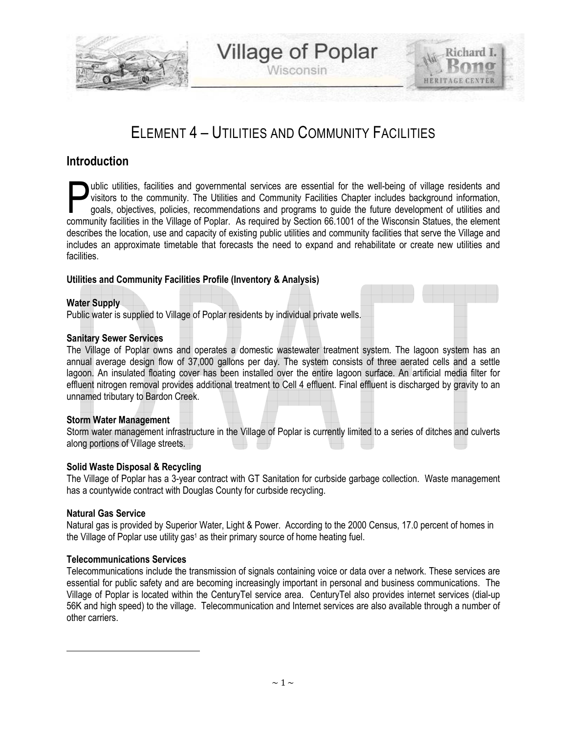

Wisconsin

**HERITAGE CENTER** 

## ELEMENT 4 – UTILITIES AND COMMUNITY FACILITIES

### **Introduction**

ublic utilities, facilities and governmental services are essential for the well-being of village residents and visitors to the community. The Utilities and Community Facilities Chapter includes background information, goals, objectives, policies, recommendations and programs to guide the future development of utilities and whic utilities, facilities and governmental services are essential for the well-being of village residents and visitors to the community. The Utilities and Community Facilities Chapter includes background information, goal describes the location, use and capacity of existing public utilities and community facilities that serve the Village and includes an approximate timetable that forecasts the need to expand and rehabilitate or create new utilities and facilities.

#### **Utilities and Community Facilities Profile (Inventory & Analysis)**

#### **Water Supply**

Public water is supplied to Village of Poplar residents by individual private wells.

#### **Sanitary Sewer Services**

The Village of Poplar owns and operates a domestic wastewater treatment system. The lagoon system has an annual average design flow of 37,000 gallons per day. The system consists of three aerated cells and a settle lagoon. An insulated floating cover has been installed over the entire lagoon surface. An artificial media filter for effluent nitrogen removal provides additional treatment to Cell 4 effluent. Final effluent is discharged by gravity to an unnamed tributary to Bardon Creek.

#### **Storm Water Management**

Storm water management infrastructure in the Village of Poplar is currently limited to a series of ditches and culverts along portions of Village streets.

#### **Solid Waste Disposal & Recycling**

The Village of Poplar has a 3-year contract with GT Sanitation for curbside garbage collection. Waste management has a countywide contract with Douglas County for curbside recycling.

#### **Natural Gas Service**

 $\overline{\phantom{a}}$ 

Natural gas is provided by Superior Water, Light & Power. According to the 2000 Census, 17.0 percent of homes in the Village of Poplar use utility gas<sup>1</sup> as their primary source of home heating fuel.

#### **Telecommunications Services**

Telecommunications include the transmission of signals containing voice or data over a network. These services are essential for public safety and are becoming increasingly important in personal and business communications. The Village of Poplar is located within the CenturyTel service area. CenturyTel also provides internet services (dial-up 56K and high speed) to the village. Telecommunication and Internet services are also available through a number of other carriers.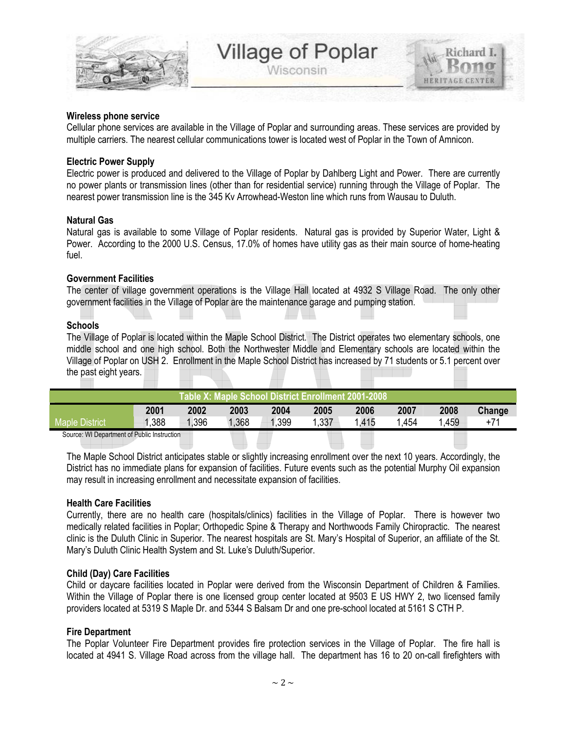

**HERITAGE CENTER** 

#### **Wireless phone service**

Cellular phone services are available in the Village of Poplar and surrounding areas. These services are provided by multiple carriers. The nearest cellular communications tower is located west of Poplar in the Town of Amnicon.

#### **Electric Power Supply**

Electric power is produced and delivered to the Village of Poplar by Dahlberg Light and Power. There are currently no power plants or transmission lines (other than for residential service) running through the Village of Poplar. The nearest power transmission line is the 345 Kv Arrowhead-Weston line which runs from Wausau to Duluth.

#### **Natural Gas**

Natural gas is available to some Village of Poplar residents. Natural gas is provided by Superior Water, Light & Power. According to the 2000 U.S. Census, 17.0% of homes have utility gas as their main source of home-heating fuel.

#### **Government Facilities**

The center of village government operations is the Village Hall located at 4932 S Village Road. The only other government facilities in the Village of Poplar are the maintenance garage and pumping station.

#### **Schools**

The Village of Poplar is located within the Maple School District. The District operates two elementary schools, one middle school and one high school. Both the Northwester Middle and Elementary schools are located within the Village of Poplar on USH 2. Enrollment in the Maple School District has increased by 71 students or 5.1 percent over the past eight years.

| Table X: Maple School District Enrollment 2001-2008 |       |       |       |      |       |      |      |      |        |
|-----------------------------------------------------|-------|-------|-------|------|-------|------|------|------|--------|
|                                                     | 2001  | 2002  | 2003  | 2004 | 2005  | 2006 | 2007 | 2008 | Change |
| <b>Maple District</b>                               | 1,388 | 1,396 | 1,368 | ,399 | 1,337 | .415 | .454 | .459 | $+71$  |
| Course: WILDsperiment of Dublin Instruction         |       |       |       |      |       |      |      |      |        |

Source: WI Department of Public Instruction

The Maple School District anticipates stable or slightly increasing enrollment over the next 10 years. Accordingly, the District has no immediate plans for expansion of facilities. Future events such as the potential Murphy Oil expansion may result in increasing enrollment and necessitate expansion of facilities.

#### **Health Care Facilities**

Currently, there are no health care (hospitals/clinics) facilities in the Village of Poplar. There is however two medically related facilities in Poplar; Orthopedic Spine & Therapy and Northwoods Family Chiropractic. The nearest clinic is the Duluth Clinic in Superior. The nearest hospitals are St. Mary's Hospital of Superior, an affiliate of the St. Mary's Duluth Clinic Health System and St. Luke's Duluth/Superior.

#### **Child (Day) Care Facilities**

Child or daycare facilities located in Poplar were derived from the Wisconsin Department of Children & Families. Within the Village of Poplar there is one licensed group center located at 9503 E US HWY 2, two licensed family providers located at 5319 S Maple Dr. and 5344 S Balsam Dr and one pre-school located at 5161 S CTH P.

#### **Fire Department**

The Poplar Volunteer Fire Department provides fire protection services in the Village of Poplar. The fire hall is located at 4941 S. Village Road across from the village hall. The department has 16 to 20 on-call firefighters with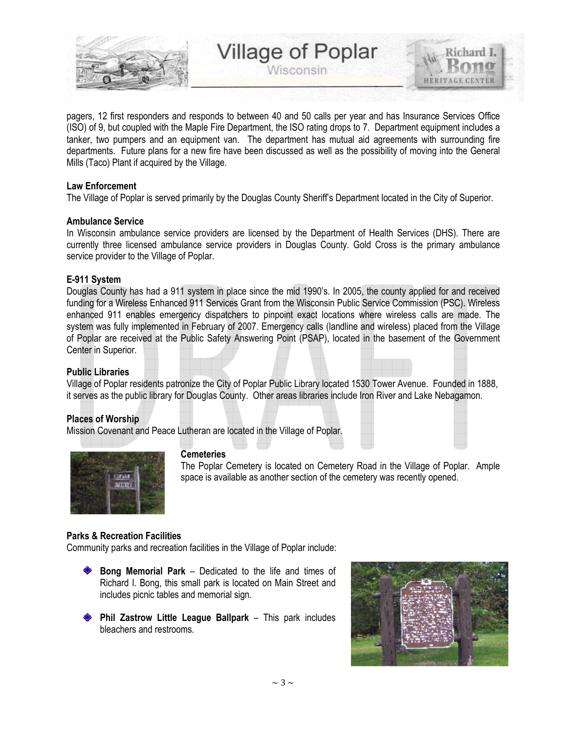

Wisconsin

pagers, 12 first responders and responds to between 40 and 50 calls per year and has Insurance Services Office (ISO) of 9, but coupled with the Maple Fire Department, the ISO rating drops to 7. Department equipment includes a tanker, two pumpers and an equipment van. The department has mutual aid agreements with surrounding fire departments. Future plans for a new fire have been discussed as well as the possibility of moving into the General Mills (Taco) Plant if acquired by the Village.

#### **Law Enforcement**

The Village of Poplar is served primarily by the Douglas County Sheriff's Department located in the City of Superior.

#### **Ambulance Service**

In Wisconsin ambulance service providers are licensed by the Department of Health Services (DHS). There are currently three licensed ambulance service providers in Douglas County. Gold Cross is the primary ambulance service provider to the Village of Poplar.

#### **E-911 System**

Douglas County has had a 911 system in place since the mid 1990's. In 2005, the county applied for and received funding for a Wireless Enhanced 911 Services Grant from the Wisconsin Public Service Commission (PSC). Wireless enhanced 911 enables emergency dispatchers to pinpoint exact locations where wireless calls are made. The system was fully implemented in February of 2007. Emergency calls (landline and wireless) placed from the Village of Poplar are received at the Public Safety Answering Point (PSAP), located in the basement of the Government Center in Superior.

#### **Public Libraries**

Village of Poplar residents patronize the City of Poplar Public Library located 1530 Tower Avenue. Founded in 1888, it serves as the public library for Douglas County. Other areas libraries include Iron River and Lake Nebagamon.

#### **Places of Worship**

Mission Covenant and Peace Lutheran are located in the Village of Poplar.



#### **Cemeteries**

The Poplar Cemetery is located on Cemetery Road in the Village of Poplar. Ample space is available as another section of the cemetery was recently opened.

#### **Parks & Recreation Facilities**

Community parks and recreation facilities in the Village of Poplar include:

- **Bong Memorial Park** Dedicated to the life and times of Richard I. Bong, this small park is located on Main Street and includes picnic tables and memorial sign.
- **Phil Zastrow Little League Ballpark** This park includes bleachers and restrooms.

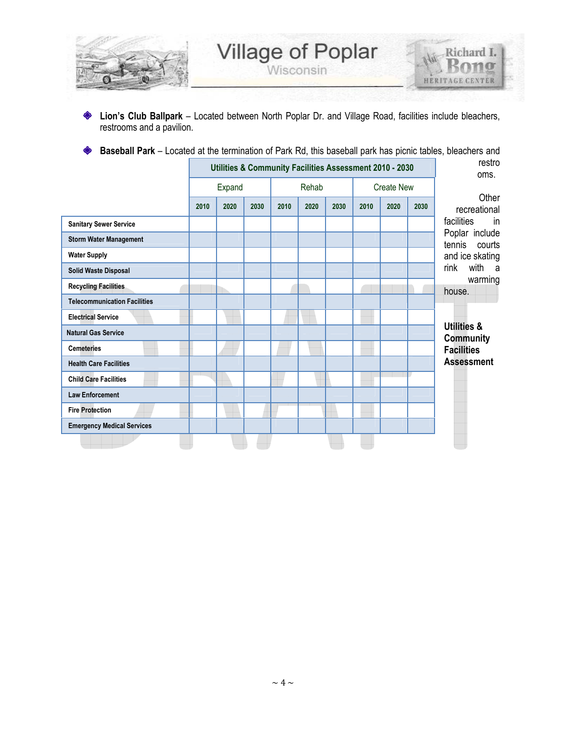

**Lion's Club Ballpark** – Located between North Poplar Dr. and Village Road, facilities include bleachers, ◈ restrooms and a pavilion.

**Baseball Park** – Located at the termination of Park Rd, this baseball park has picnic tables, bleachers and ♦

|                                     | Utilities & Community Facilities Assessment 2010 - 2030 |      |      |       |      |      |                   |      | restro<br>oms. |                                     |
|-------------------------------------|---------------------------------------------------------|------|------|-------|------|------|-------------------|------|----------------|-------------------------------------|
|                                     | Expand                                                  |      |      | Rehab |      |      | <b>Create New</b> |      |                |                                     |
|                                     | 2010                                                    | 2020 | 2030 | 2010  | 2020 | 2030 | 2010              | 2020 | 2030           | Other<br>recreational               |
| <b>Sanitary Sewer Service</b>       |                                                         |      |      |       |      |      |                   |      |                | facilities<br>in                    |
| <b>Storm Water Management</b>       |                                                         |      |      |       |      |      |                   |      |                | Poplar include<br>tennis<br>courts  |
| <b>Water Supply</b>                 |                                                         |      |      |       |      |      |                   |      |                | and ice skating                     |
| <b>Solid Waste Disposal</b>         |                                                         |      |      |       |      |      |                   |      |                | with<br>rink<br>- a                 |
| <b>Recycling Facilities</b>         |                                                         |      |      |       |      |      |                   |      |                | warming<br>house.                   |
| <b>Telecommunication Facilities</b> |                                                         |      |      |       |      |      |                   |      |                |                                     |
| <b>Electrical Service</b>           |                                                         |      |      |       |      |      |                   |      |                |                                     |
| <b>Natural Gas Service</b>          |                                                         |      |      |       |      |      |                   |      |                | <b>Utilities &amp;</b><br>Community |
| <b>Cemeteries</b>                   |                                                         |      |      |       |      |      |                   |      |                | <b>Facilities</b>                   |
| <b>Health Care Facilities</b>       |                                                         |      |      |       |      |      |                   |      |                | <b>Assessment</b>                   |
| <b>Child Care Facilities</b>        |                                                         |      |      |       |      |      |                   |      |                |                                     |
| <b>Law Enforcement</b>              |                                                         |      |      |       |      |      |                   |      |                |                                     |
| <b>Fire Protection</b>              |                                                         |      |      |       |      |      |                   |      |                |                                     |
| <b>Emergency Medical Services</b>   |                                                         |      |      |       |      |      |                   |      |                |                                     |
|                                     |                                                         |      |      |       |      |      |                   |      |                |                                     |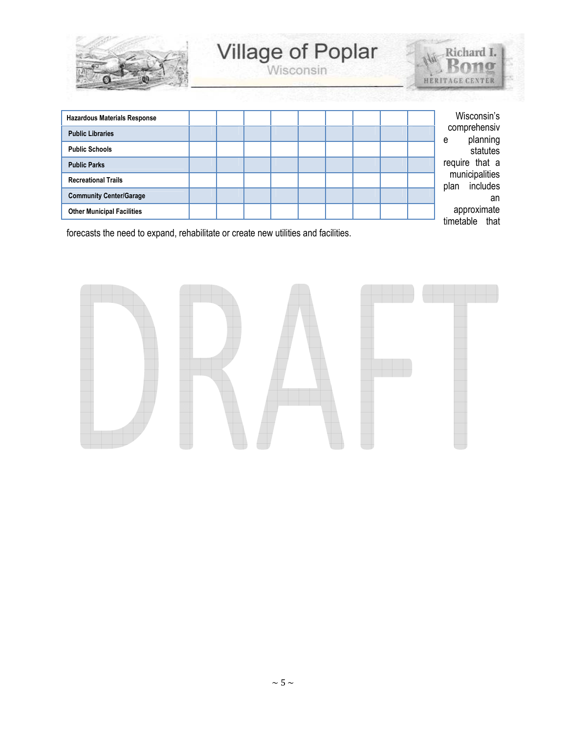

# Village of Poplar



| <b>Hazardous Materials Response</b> |  |  | Wisconsin's                        |
|-------------------------------------|--|--|------------------------------------|
| <b>Public Libraries</b>             |  |  | comprehensiv<br>planning<br>e      |
| <b>Public Schools</b>               |  |  | statutes                           |
| <b>Public Parks</b>                 |  |  | require that a                     |
| <b>Recreational Trails</b>          |  |  | municipalities<br>includes<br>plan |
| <b>Community Center/Garage</b>      |  |  | an                                 |
| <b>Other Municipal Facilities</b>   |  |  | approximate                        |
|                                     |  |  | timetable that                     |

forecasts the need to expand, rehabilitate or create new utilities and facilities.